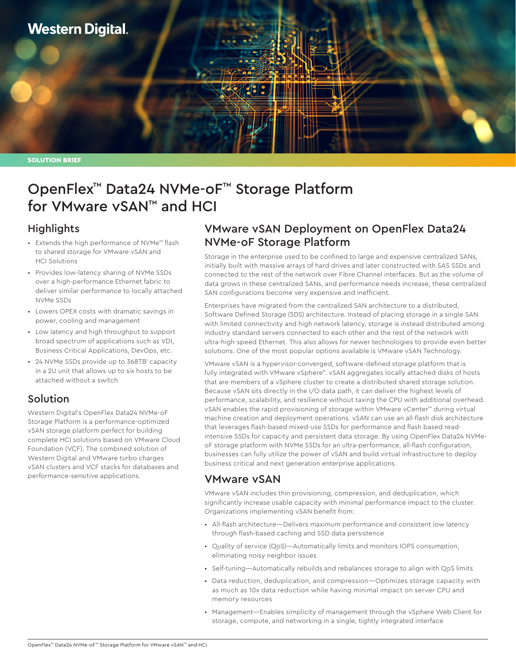

SOLUTION BRIEF

# OpenFlex™ Data24 NVMe-oF™ Storage Platform for VMware vSAN™ and HCI

#### **Highlights**

- Extends the high performance of NVMe™ flash to shared storage for VMware vSAN and HCI Solutions
- Provides low-latency sharing of NVMe SSDs over a high-performance Ethernet fabric to deliver similar performance to locally attached NVMe SSDs
- Lowers OPEX costs with dramatic savings in power, cooling and management
- Low latency and high throughput to support broad spectrum of applications such as VDI, Business Critical Applications, DevOps, etc.
- 24 NVMe SSDs provide up to 368TB<sup>1</sup> capacity in a 2U unit that allows up to six hosts to be attached without a switch

#### Solution

Western Digital's OpenFlex Data24 NVMe-oF Storage Platform is a performance-optimized vSAN storage platform perfect for building complete HCI solutions based on VMware Cloud Foundation (VCF). The combined solution of Western Digital and VMware turbo charges vSAN clusters and VCF stacks for databases and performance-sensitive applications.

## VMware vSAN Deployment on OpenFlex Data24 NVMe-oF Storage Platform

Storage in the enterprise used to be confined to large and expensive centralized SANs, initially built with massive arrays of hard drives and later constructed with SAS SSDs and connected to the rest of the network over Fibre Channel interfaces. But as the volume of data grows in these centralized SANs, and performance needs increase, these centralized SAN configurations become very expensive and inefficient.

Enterprises have migrated from the centralized SAN architecture to a distributed, Software Defined Storage (SDS) architecture. Instead of placing storage in a single SAN with limited connectivity and high network latency, storage is instead distributed among industry standard servers connected to each other and the rest of the network with ultra-high-speed Ethernet. This also allows for newer technologies to provide even better solutions. One of the most popular options available is VMware vSAN Technology.

VMware vSAN is a hypervisor-converged, software-defined storage platform that is fully integrated with VMware vSphere®. vSAN aggregates locally attached disks of hosts that are members of a vSphere cluster to create a distributed shared storage solution. Because vSAN sits directly in the I/O data path, it can deliver the highest levels of performance, scalability, and resilience without taxing the CPU with additional overhead. vSAN enables the rapid provisioning of storage within VMware vCenter™ during virtual machine creation and deployment operations. vSAN can use an all-flash disk architecture that leverages flash-based mixed-use SSDs for performance and flash based readintensive SSDs for capacity and persistent data storage. By using OpenFlex Data24 NVMeoF storage platform with NVMe SSDs for an ultra-performance, all-flash configuration, businesses can fully utilize the power of vSAN and build virtual infrastructure to deploy business critical and next generation enterprise applications.

## VMware vSAN

VMware vSAN includes thin provisioning, compression, and deduplication, which significantly increase usable capacity with minimal performance impact to the cluster. Organizations implementing vSAN benefit from:

- All-flash architecture—Delivers maximum performance and consistent low latency through flash-based caching and SSD data persistence
- Quality of service (QoS)—Automatically limits and monitors IOPS consumption, eliminating noisy neighbor issues
- Self-tuning—Automatically rebuilds and rebalances storage to align with QoS limits
- Data reduction, deduplication, and compression—Optimizes storage capacity with as much as 10x data reduction while having minimal impact on server CPU and memory resources
- Management—Enables simplicity of management through the vSphere Web Client for storage, compute, and networking in a single, tightly integrated interface